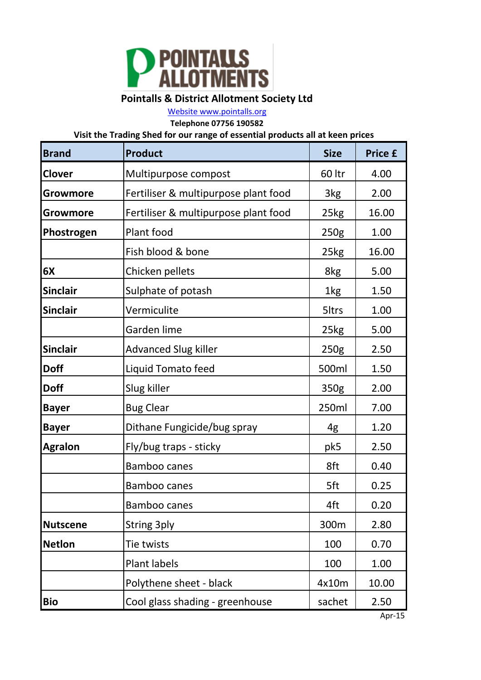

## **Pointalls & District Allotment Society Ltd**

[Website www.pointalls.org](http://www.pointalls.org/)

**Telephone 07756 190582**

**Visit the Trading Shed for our range of essential products all at keen prices**

| <b>Brand</b>    | <b>Product</b>                       | <b>Size</b>      | <b>Price £</b> |
|-----------------|--------------------------------------|------------------|----------------|
| Clover          | Multipurpose compost                 | 60 ltr           | 4.00           |
| Growmore        | Fertiliser & multipurpose plant food | 3kg              | 2.00           |
| Growmore        | Fertiliser & multipurpose plant food | 25kg             | 16.00          |
| Phostrogen      | Plant food                           | 250 <sub>g</sub> | 1.00           |
|                 | Fish blood & bone                    | 25kg             | 16.00          |
| 6X              | Chicken pellets                      | 8kg              | 5.00           |
| <b>Sinclair</b> | Sulphate of potash                   | 1kg              | 1.50           |
| <b>Sinclair</b> | Vermiculite                          | 5ltrs            | 1.00           |
|                 | Garden lime                          | 25kg             | 5.00           |
| <b>Sinclair</b> | <b>Advanced Slug killer</b>          | 250 <sub>g</sub> | 2.50           |
| <b>Doff</b>     | Liquid Tomato feed                   | 500ml            | 1.50           |
| <b>Doff</b>     | Slug killer                          | 350g             | 2.00           |
| <b>Bayer</b>    | <b>Bug Clear</b>                     | 250ml            | 7.00           |
| <b>Bayer</b>    | Dithane Fungicide/bug spray          | 4g               | 1.20           |
| <b>Agralon</b>  | Fly/bug traps - sticky               | pk5              | 2.50           |
|                 | <b>Bamboo canes</b>                  | 8ft              | 0.40           |
|                 | <b>Bamboo canes</b>                  | 5ft              | 0.25           |
|                 | <b>Bamboo canes</b>                  | 4ft              | 0.20           |
| <b>Nutscene</b> | <b>String 3ply</b>                   | 300m             | 2.80           |
| <b>Netlon</b>   | Tie twists                           | 100              | 0.70           |
|                 | Plant labels                         | 100              | 1.00           |
|                 | Polythene sheet - black              | 4x10m            | 10.00          |
| <b>Bio</b>      | Cool glass shading - greenhouse      | sachet           | 2.50           |

Apr-15